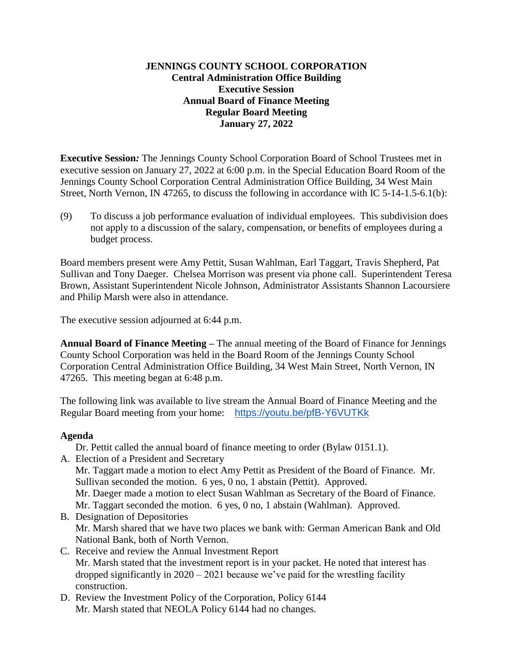## **JENNINGS COUNTY SCHOOL CORPORATION Central Administration Office Building Executive Session Annual Board of Finance Meeting Regular Board Meeting January 27, 2022**

**Executive Session***:* The Jennings County School Corporation Board of School Trustees met in executive session on January 27, 2022 at 6:00 p.m. in the Special Education Board Room of the Jennings County School Corporation Central Administration Office Building, 34 West Main Street, North Vernon, IN 47265, to discuss the following in accordance with IC 5-14-1.5-6.1(b):

(9) To discuss a job performance evaluation of individual employees. This subdivision does not apply to a discussion of the salary, compensation, or benefits of employees during a budget process.

Board members present were Amy Pettit, Susan Wahlman, Earl Taggart, Travis Shepherd, Pat Sullivan and Tony Daeger. Chelsea Morrison was present via phone call. Superintendent Teresa Brown, Assistant Superintendent Nicole Johnson, Administrator Assistants Shannon Lacoursiere and Philip Marsh were also in attendance.

The executive session adjourned at 6:44 p.m.

**Annual Board of Finance Meeting –** The annual meeting of the Board of Finance for Jennings County School Corporation was held in the Board Room of the Jennings County School Corporation Central Administration Office Building, 34 West Main Street, North Vernon, IN 47265. This meeting began at 6:48 p.m.

The following link was available to live stream the Annual Board of Finance Meeting and the Regular Board meeting from your home: <https://youtu.be/pfB-Y6VUTKk>

### **Agenda**

Dr. Pettit called the annual board of finance meeting to order (Bylaw 0151.1).

- A. Election of a President and Secretary Mr. Taggart made a motion to elect Amy Pettit as President of the Board of Finance. Mr. Sullivan seconded the motion. 6 yes, 0 no, 1 abstain (Pettit). Approved. Mr. Daeger made a motion to elect Susan Wahlman as Secretary of the Board of Finance. Mr. Taggart seconded the motion. 6 yes, 0 no, 1 abstain (Wahlman). Approved.
- B. Designation of Depositories Mr. Marsh shared that we have two places we bank with: German American Bank and Old National Bank, both of North Vernon.
- C. Receive and review the Annual Investment Report Mr. Marsh stated that the investment report is in your packet. He noted that interest has dropped significantly in 2020 – 2021 because we've paid for the wrestling facility construction.
- D. Review the Investment Policy of the Corporation, Policy 6144 Mr. Marsh stated that NEOLA Policy 6144 had no changes.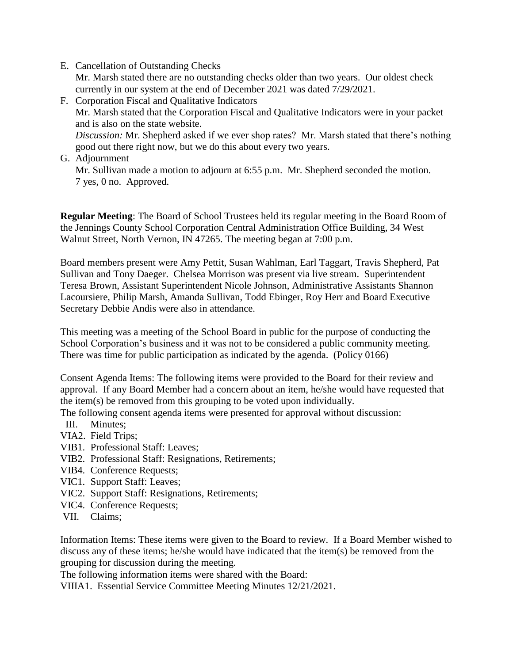E. Cancellation of Outstanding Checks

Mr. Marsh stated there are no outstanding checks older than two years. Our oldest check currently in our system at the end of December 2021 was dated 7/29/2021.

- F. Corporation Fiscal and Qualitative Indicators Mr. Marsh stated that the Corporation Fiscal and Qualitative Indicators were in your packet and is also on the state website. *Discussion:* Mr. Shepherd asked if we ever shop rates? Mr. Marsh stated that there's nothing good out there right now, but we do this about every two years.
- G. Adjournment Mr. Sullivan made a motion to adjourn at 6:55 p.m. Mr. Shepherd seconded the motion. 7 yes, 0 no. Approved.

**Regular Meeting**: The Board of School Trustees held its regular meeting in the Board Room of the Jennings County School Corporation Central Administration Office Building, 34 West Walnut Street, North Vernon, IN 47265. The meeting began at 7:00 p.m.

Board members present were Amy Pettit, Susan Wahlman, Earl Taggart, Travis Shepherd, Pat Sullivan and Tony Daeger. Chelsea Morrison was present via live stream. Superintendent Teresa Brown, Assistant Superintendent Nicole Johnson, Administrative Assistants Shannon Lacoursiere, Philip Marsh, Amanda Sullivan, Todd Ebinger, Roy Herr and Board Executive Secretary Debbie Andis were also in attendance.

This meeting was a meeting of the School Board in public for the purpose of conducting the School Corporation's business and it was not to be considered a public community meeting. There was time for public participation as indicated by the agenda. (Policy 0166)

Consent Agenda Items: The following items were provided to the Board for their review and approval. If any Board Member had a concern about an item, he/she would have requested that the item(s) be removed from this grouping to be voted upon individually.

The following consent agenda items were presented for approval without discussion:

- III. Minutes;
- VIA2. Field Trips;
- VIB1. Professional Staff: Leaves;
- VIB2. Professional Staff: Resignations, Retirements;
- VIB4. Conference Requests;
- VIC1. Support Staff: Leaves;
- VIC2. Support Staff: Resignations, Retirements;
- VIC4. Conference Requests;
- VII. Claims;

Information Items: These items were given to the Board to review. If a Board Member wished to discuss any of these items; he/she would have indicated that the item(s) be removed from the grouping for discussion during the meeting.

The following information items were shared with the Board:

VIIIA1. Essential Service Committee Meeting Minutes 12/21/2021.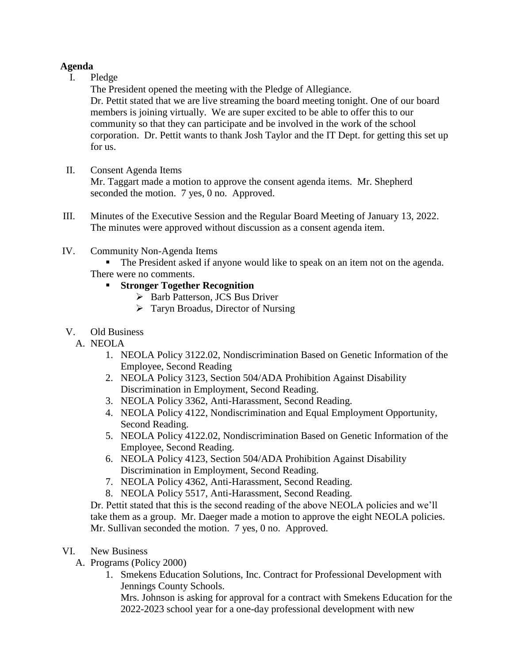## **Agenda**

I. Pledge

The President opened the meeting with the Pledge of Allegiance.

Dr. Pettit stated that we are live streaming the board meeting tonight. One of our board members is joining virtually. We are super excited to be able to offer this to our community so that they can participate and be involved in the work of the school corporation. Dr. Pettit wants to thank Josh Taylor and the IT Dept. for getting this set up for us.

II. Consent Agenda Items

Mr. Taggart made a motion to approve the consent agenda items. Mr. Shepherd seconded the motion. 7 yes, 0 no. Approved.

- III. Minutes of the Executive Session and the Regular Board Meeting of January 13, 2022. The minutes were approved without discussion as a consent agenda item.
- IV. Community Non-Agenda Items
	- The President asked if anyone would like to speak on an item not on the agenda.

There were no comments.

# **Stronger Together Recognition**

- ▶ Barb Patterson, JCS Bus Driver
- $\triangleright$  Taryn Broadus, Director of Nursing
- V. Old Business
	- A. NEOLA
		- 1. NEOLA Policy 3122.02, Nondiscrimination Based on Genetic Information of the Employee, Second Reading
		- 2. NEOLA Policy 3123, Section 504/ADA Prohibition Against Disability Discrimination in Employment, Second Reading.
		- 3. NEOLA Policy 3362, Anti-Harassment, Second Reading.
		- 4. NEOLA Policy 4122, Nondiscrimination and Equal Employment Opportunity, Second Reading.
		- 5. NEOLA Policy 4122.02, Nondiscrimination Based on Genetic Information of the Employee, Second Reading.
		- 6. NEOLA Policy 4123, Section 504/ADA Prohibition Against Disability Discrimination in Employment, Second Reading.
		- 7. NEOLA Policy 4362, Anti-Harassment, Second Reading.
		- 8. NEOLA Policy 5517, Anti-Harassment, Second Reading.

Dr. Pettit stated that this is the second reading of the above NEOLA policies and we'll take them as a group. Mr. Daeger made a motion to approve the eight NEOLA policies. Mr. Sullivan seconded the motion. 7 yes, 0 no. Approved.

- VI. New Business
	- A. Programs (Policy 2000)
		- 1. Smekens Education Solutions, Inc. Contract for Professional Development with Jennings County Schools.

Mrs. Johnson is asking for approval for a contract with Smekens Education for the 2022-2023 school year for a one-day professional development with new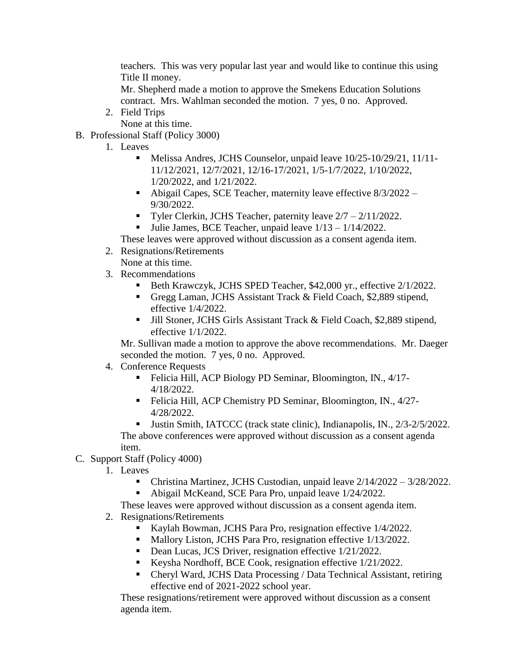teachers. This was very popular last year and would like to continue this using Title II money.

Mr. Shepherd made a motion to approve the Smekens Education Solutions contract. Mrs. Wahlman seconded the motion. 7 yes, 0 no. Approved.

- 2. Field Trips None at this time.
- B. Professional Staff (Policy 3000)
	- 1. Leaves
		- Melissa Andres, JCHS Counselor, unpaid leave 10/25-10/29/21, 11/11- 11/12/2021, 12/7/2021, 12/16-17/2021, 1/5-1/7/2022, 1/10/2022, 1/20/2022, and 1/21/2022.
		- Abigail Capes, SCE Teacher, maternity leave effective 8/3/2022 9/30/2022.
		- Tyler Clerkin, JCHS Teacher, paternity leave  $2/7 2/11/2022$ .
		- **Julie James, BCE Teacher, unpaid leave**  $1/13 1/14/2022$ **.**

These leaves were approved without discussion as a consent agenda item.

- 2. Resignations/Retirements
	- None at this time.
- 3. Recommendations
	- Beth Krawczyk, JCHS SPED Teacher, \$42,000 yr., effective 2/1/2022.
	- Gregg Laman, JCHS Assistant Track & Field Coach, \$2,889 stipend, effective 1/4/2022.
	- Iill Stoner, JCHS Girls Assistant Track & Field Coach, \$2,889 stipend, effective 1/1/2022.

Mr. Sullivan made a motion to approve the above recommendations. Mr. Daeger seconded the motion. 7 yes, 0 no. Approved.

- 4. Conference Requests
	- Felicia Hill, ACP Biology PD Seminar, Bloomington, IN., 4/17-4/18/2022.
	- Felicia Hill, ACP Chemistry PD Seminar, Bloomington, IN., 4/27-4/28/2022.
	- Ultim Smith, IATCCC (track state clinic), Indianapolis, IN., 2/3-2/5/2022. The above conferences were approved without discussion as a consent agenda item.
- C. Support Staff (Policy 4000)
	- 1. Leaves
		- Christina Martinez, JCHS Custodian, unpaid leave 2/14/2022 3/28/2022.
		- Abigail McKeand, SCE Para Pro, unpaid leave 1/24/2022.

These leaves were approved without discussion as a consent agenda item.

- 2. Resignations/Retirements
	- Kaylah Bowman, JCHS Para Pro, resignation effective 1/4/2022.
	- Mallory Liston, JCHS Para Pro, resignation effective 1/13/2022.
	- Dean Lucas, JCS Driver, resignation effective  $1/21/2022$ .
	- Keysha Nordhoff, BCE Cook, resignation effective  $1/21/2022$ .
	- Cheryl Ward, JCHS Data Processing / Data Technical Assistant, retiring effective end of 2021-2022 school year.

These resignations/retirement were approved without discussion as a consent agenda item.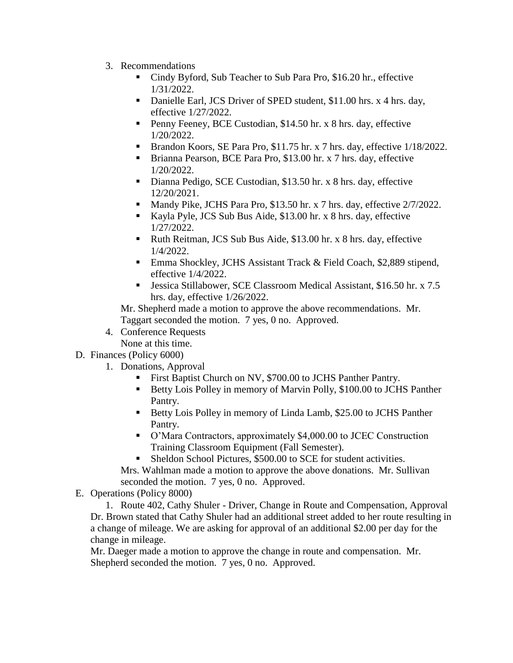- 3. Recommendations
	- Cindy Byford, Sub Teacher to Sub Para Pro, \$16.20 hr., effective 1/31/2022.
	- Danielle Earl, JCS Driver of SPED student, \$11.00 hrs. x 4 hrs. day, effective 1/27/2022.
	- Penny Feeney, BCE Custodian, \$14.50 hr. x 8 hrs. day, effective 1/20/2022.
	- Brandon Koors, SE Para Pro, \$11.75 hr. x 7 hrs. day, effective  $1/18/2022$ .
	- Brianna Pearson, BCE Para Pro, \$13.00 hr. x 7 hrs. day, effective 1/20/2022.
	- Dianna Pedigo, SCE Custodian, \$13.50 hr. x 8 hrs. day, effective 12/20/2021.
	- Mandy Pike, JCHS Para Pro, \$13.50 hr. x 7 hrs. day, effective  $2/7/2022$ .
	- Kayla Pyle, JCS Sub Bus Aide, \$13.00 hr. x 8 hrs. day, effective 1/27/2022.
	- Ruth Reitman, JCS Sub Bus Aide, \$13.00 hr. x 8 hrs. day, effective 1/4/2022.
	- Emma Shockley, JCHS Assistant Track & Field Coach, \$2,889 stipend, effective 1/4/2022.
	- Jessica Stillabower, SCE Classroom Medical Assistant, \$16.50 hr. x 7.5 hrs. day, effective 1/26/2022.

Mr. Shepherd made a motion to approve the above recommendations. Mr. Taggart seconded the motion. 7 yes, 0 no. Approved.

- 4. Conference Requests
- None at this time.
- D. Finances (Policy 6000)
	- 1. Donations, Approval
		- First Baptist Church on NV, \$700.00 to JCHS Panther Pantry.
		- Betty Lois Polley in memory of Marvin Polly, \$100.00 to JCHS Panther Pantry.
		- Betty Lois Polley in memory of Linda Lamb, \$25.00 to JCHS Panther Pantry.
		- O'Mara Contractors, approximately \$4,000.00 to JCEC Construction Training Classroom Equipment (Fall Semester).
		- Sheldon School Pictures, \$500.00 to SCE for student activities.

Mrs. Wahlman made a motion to approve the above donations. Mr. Sullivan seconded the motion. 7 yes, 0 no. Approved.

E. Operations (Policy 8000)

1. Route 402, Cathy Shuler - Driver, Change in Route and Compensation, Approval Dr. Brown stated that Cathy Shuler had an additional street added to her route resulting in a change of mileage. We are asking for approval of an additional \$2.00 per day for the change in mileage.

Mr. Daeger made a motion to approve the change in route and compensation. Mr. Shepherd seconded the motion. 7 yes, 0 no. Approved.